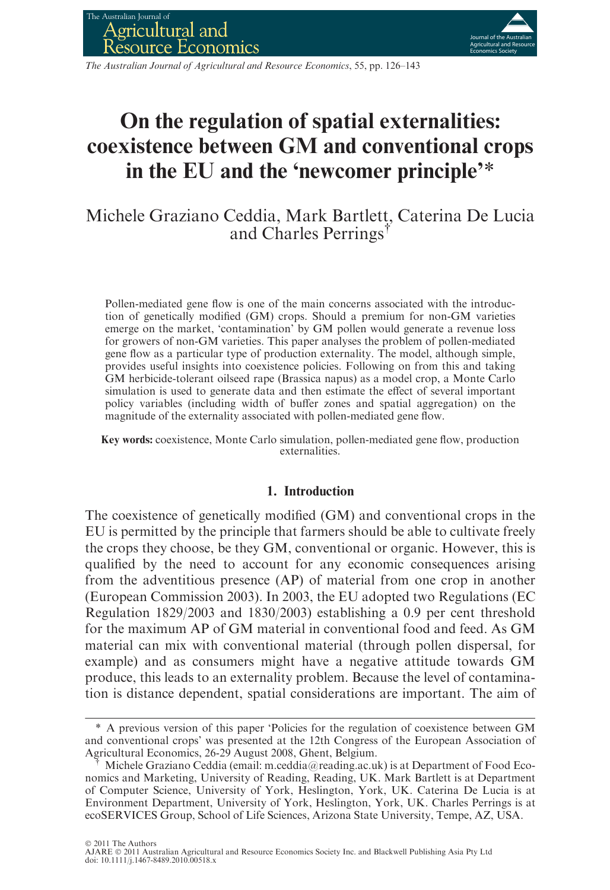

The Australian Journal of Agricultural and Resource Economics, 55, pp. 126–143

# On the regulation of spatial externalities: coexistence between GM and conventional crops in the EU and the 'newcomer principle'\*

Michele Graziano Ceddia, Mark Bartlett, Caterina De Lucia and Charles Perrings†

Pollen-mediated gene flow is one of the main concerns associated with the introduction of genetically modified (GM) crops. Should a premium for non-GM varieties emerge on the market, 'contamination' by GM pollen would generate a revenue loss for growers of non-GM varieties. This paper analyses the problem of pollen-mediated gene flow as a particular type of production externality. The model, although simple, provides useful insights into coexistence policies. Following on from this and taking GM herbicide-tolerant oilseed rape (Brassica napus) as a model crop, a Monte Carlo simulation is used to generate data and then estimate the effect of several important policy variables (including width of buffer zones and spatial aggregation) on the magnitude of the externality associated with pollen-mediated gene flow.

Key words: coexistence, Monte Carlo simulation, pollen-mediated gene flow, production externalities.

## 1. Introduction

The coexistence of genetically modified (GM) and conventional crops in the EU is permitted by the principle that farmers should be able to cultivate freely the crops they choose, be they GM, conventional or organic. However, this is qualified by the need to account for any economic consequences arising from the adventitious presence (AP) of material from one crop in another (European Commission 2003). In 2003, the EU adopted two Regulations (EC Regulation 1829/2003 and 1830/2003) establishing a 0.9 per cent threshold for the maximum AP of GM material in conventional food and feed. As GM material can mix with conventional material (through pollen dispersal, for example) and as consumers might have a negative attitude towards GM produce, this leads to an externality problem. Because the level of contamination is distance dependent, spatial considerations are important. The aim of

<sup>\*</sup> A previous version of this paper 'Policies for the regulation of coexistence between GM and conventional crops' was presented at the 12th Congress of the European Association of Agricultural Economics, 26-29 August 2008, Ghent, Belgium.

Michele Graziano Ceddia (email: m.ceddia@reading.ac.uk) is at Department of Food Economics and Marketing, University of Reading, Reading, UK. Mark Bartlett is at Department of Computer Science, University of York, Heslington, York, UK. Caterina De Lucia is at Environment Department, University of York, Heslington, York, UK. Charles Perrings is at ecoSERVICES Group, School of Life Sciences, Arizona State University, Tempe, AZ, USA.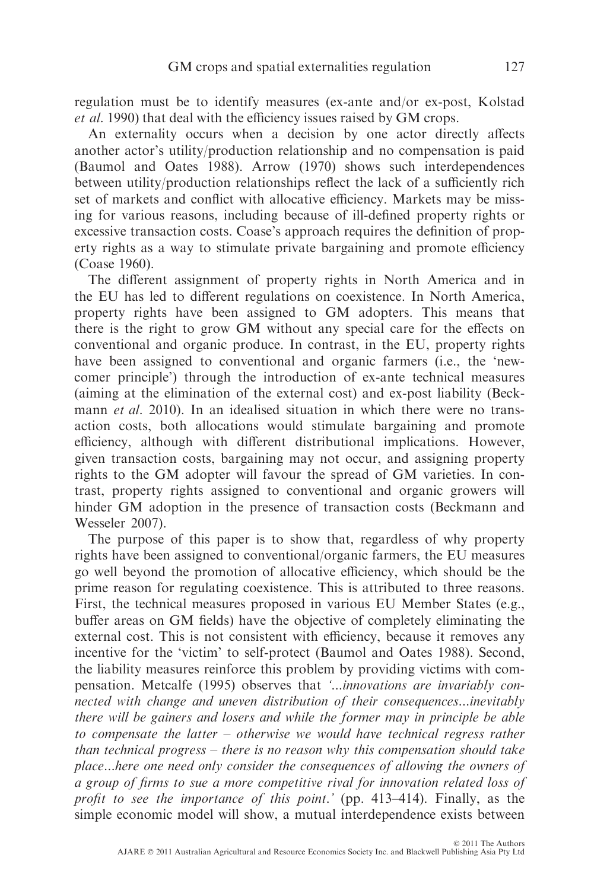regulation must be to identify measures (ex-ante and/or ex-post, Kolstad et al. 1990) that deal with the efficiency issues raised by GM crops.

An externality occurs when a decision by one actor directly affects another actor's utility/production relationship and no compensation is paid (Baumol and Oates 1988). Arrow (1970) shows such interdependences between utility/production relationships reflect the lack of a sufficiently rich set of markets and conflict with allocative efficiency. Markets may be missing for various reasons, including because of ill-defined property rights or excessive transaction costs. Coase's approach requires the definition of property rights as a way to stimulate private bargaining and promote efficiency (Coase 1960).

The different assignment of property rights in North America and in the EU has led to different regulations on coexistence. In North America, property rights have been assigned to GM adopters. This means that there is the right to grow GM without any special care for the effects on conventional and organic produce. In contrast, in the EU, property rights have been assigned to conventional and organic farmers (i.e., the 'newcomer principle') through the introduction of ex-ante technical measures (aiming at the elimination of the external cost) and ex-post liability (Beckmann *et al.* 2010). In an idealised situation in which there were no transaction costs, both allocations would stimulate bargaining and promote efficiency, although with different distributional implications. However, given transaction costs, bargaining may not occur, and assigning property rights to the GM adopter will favour the spread of GM varieties. In contrast, property rights assigned to conventional and organic growers will hinder GM adoption in the presence of transaction costs (Beckmann and Wesseler 2007).

The purpose of this paper is to show that, regardless of why property rights have been assigned to conventional/organic farmers, the EU measures go well beyond the promotion of allocative efficiency, which should be the prime reason for regulating coexistence. This is attributed to three reasons. First, the technical measures proposed in various EU Member States (e.g., buffer areas on GM fields) have the objective of completely eliminating the external cost. This is not consistent with efficiency, because it removes any incentive for the 'victim' to self-protect (Baumol and Oates 1988). Second, the liability measures reinforce this problem by providing victims with compensation. Metcalfe (1995) observes that '...innovations are invariably connected with change and uneven distribution of their consequences...inevitably there will be gainers and losers and while the former may in principle be able to compensate the latter – otherwise we would have technical regress rather than technical progress – there is no reason why this compensation should take place...here one need only consider the consequences of allowing the owners of a group of firms to sue a more competitive rival for innovation related loss of profit to see the importance of this point.' (pp. 413–414). Finally, as the simple economic model will show, a mutual interdependence exists between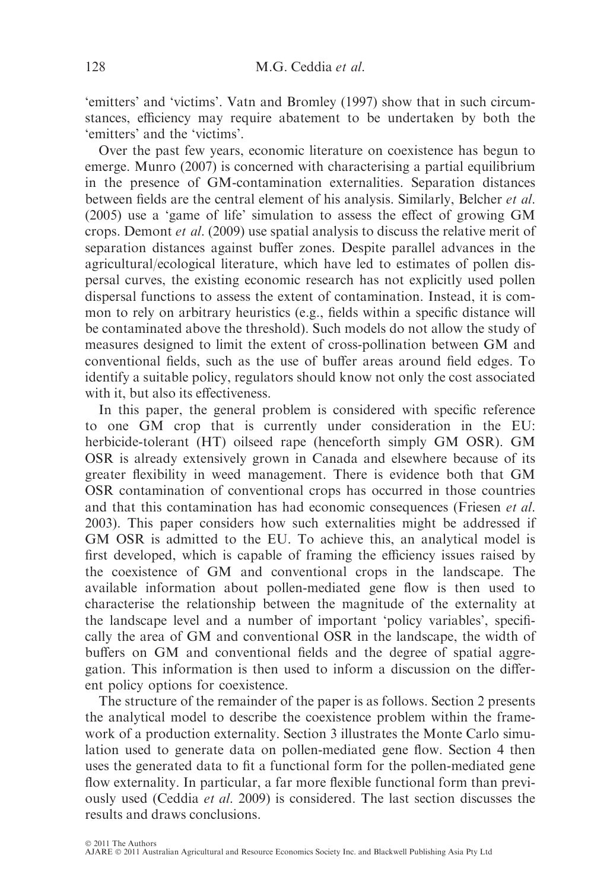'emitters' and 'victims'. Vatn and Bromley (1997) show that in such circumstances, efficiency may require abatement to be undertaken by both the 'emitters' and the 'victims'.

Over the past few years, economic literature on coexistence has begun to emerge. Munro (2007) is concerned with characterising a partial equilibrium in the presence of GM-contamination externalities. Separation distances between fields are the central element of his analysis. Similarly, Belcher *et al.* (2005) use a 'game of life' simulation to assess the effect of growing GM crops. Demont et al. (2009) use spatial analysis to discuss the relative merit of separation distances against buffer zones. Despite parallel advances in the agricultural/ecological literature, which have led to estimates of pollen dispersal curves, the existing economic research has not explicitly used pollen dispersal functions to assess the extent of contamination. Instead, it is common to rely on arbitrary heuristics (e.g., fields within a specific distance will be contaminated above the threshold). Such models do not allow the study of measures designed to limit the extent of cross-pollination between GM and conventional fields, such as the use of buffer areas around field edges. To identify a suitable policy, regulators should know not only the cost associated with it, but also its effectiveness.

In this paper, the general problem is considered with specific reference to one GM crop that is currently under consideration in the EU: herbicide-tolerant (HT) oilseed rape (henceforth simply GM OSR). GM OSR is already extensively grown in Canada and elsewhere because of its greater flexibility in weed management. There is evidence both that GM OSR contamination of conventional crops has occurred in those countries and that this contamination has had economic consequences (Friesen et al. 2003). This paper considers how such externalities might be addressed if GM OSR is admitted to the EU. To achieve this, an analytical model is first developed, which is capable of framing the efficiency issues raised by the coexistence of GM and conventional crops in the landscape. The available information about pollen-mediated gene flow is then used to characterise the relationship between the magnitude of the externality at the landscape level and a number of important 'policy variables', specifically the area of GM and conventional OSR in the landscape, the width of buffers on GM and conventional fields and the degree of spatial aggregation. This information is then used to inform a discussion on the different policy options for coexistence.

The structure of the remainder of the paper is as follows. Section 2 presents the analytical model to describe the coexistence problem within the framework of a production externality. Section 3 illustrates the Monte Carlo simulation used to generate data on pollen-mediated gene flow. Section 4 then uses the generated data to fit a functional form for the pollen-mediated gene flow externality. In particular, a far more flexible functional form than previously used (Ceddia et al. 2009) is considered. The last section discusses the results and draws conclusions.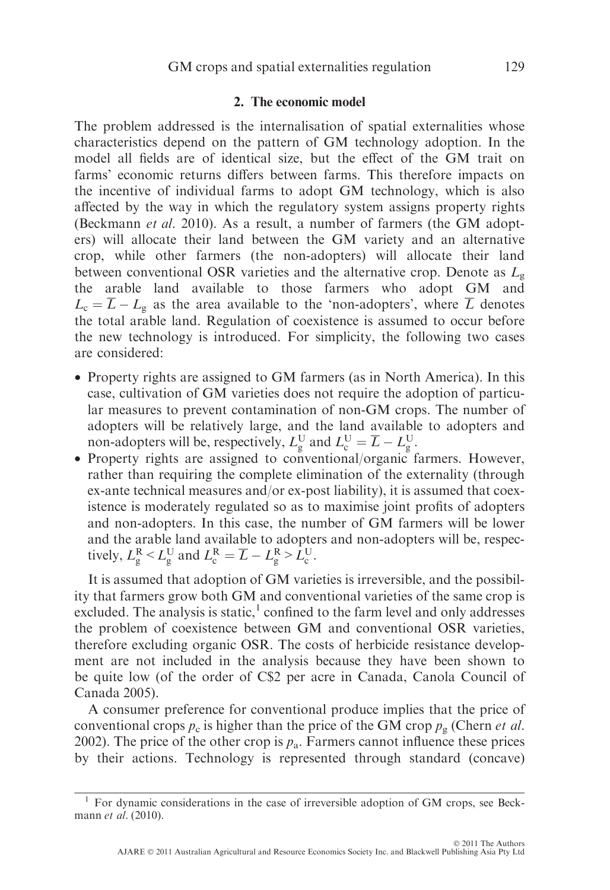## 2. The economic model

The problem addressed is the internalisation of spatial externalities whose characteristics depend on the pattern of GM technology adoption. In the model all fields are of identical size, but the effect of the GM trait on farms' economic returns differs between farms. This therefore impacts on the incentive of individual farms to adopt GM technology, which is also affected by the way in which the regulatory system assigns property rights (Beckmann et al. 2010). As a result, a number of farmers (the GM adopters) will allocate their land between the GM variety and an alternative crop, while other farmers (the non-adopters) will allocate their land between conventional OSR varieties and the alternative crop. Denote as  $L_{\sigma}$ the arable land available to those farmers who adopt GM and  $L_c = \overline{L} - L_g$  as the area available to the 'non-adopters', where  $\overline{L}$  denotes the total arable land. Regulation of coexistence is assumed to occur before the new technology is introduced. For simplicity, the following two cases are considered:

- Property rights are assigned to GM farmers (as in North America). In this case, cultivation of GM varieties does not require the adoption of particular measures to prevent contamination of non-GM crops. The number of adopters will be relatively large, and the land available to adopters and non-adopters will be, respectively,  $L_g^{\text{U}}$  and  $L_c^{\text{U}} = \overline{L} - L_g^{\text{U}}$ .
- Property rights are assigned to conventional/organic farmers. However, rather than requiring the complete elimination of the externality (through ex-ante technical measures and/or ex-post liability), it is assumed that coexistence is moderately regulated so as to maximise joint profits of adopters and non-adopters. In this case, the number of GM farmers will be lower and the arable land available to adopters and non-adopters will be, respectively,  $L_g^R < L_g^U$  and  $L_c^R = \overline{L} - L_g^R > L_c^U$ .

It is assumed that adoption of GM varieties is irreversible, and the possibility that farmers grow both GM and conventional varieties of the same crop is excluded. The analysis is static, $\frac{1}{2}$  confined to the farm level and only addresses the problem of coexistence between GM and conventional OSR varieties, therefore excluding organic OSR. The costs of herbicide resistance development are not included in the analysis because they have been shown to be quite low (of the order of C\$2 per acre in Canada, Canola Council of Canada 2005).

A consumer preference for conventional produce implies that the price of conventional crops  $p_c$  is higher than the price of the GM crop  $p_g$  (Chern *et al.*) 2002). The price of the other crop is  $p_a$ . Farmers cannot influence these prices by their actions. Technology is represented through standard (concave)

 $<sup>1</sup>$  For dynamic considerations in the case of irreversible adoption of GM crops, see Beck-</sup> mann et al. (2010).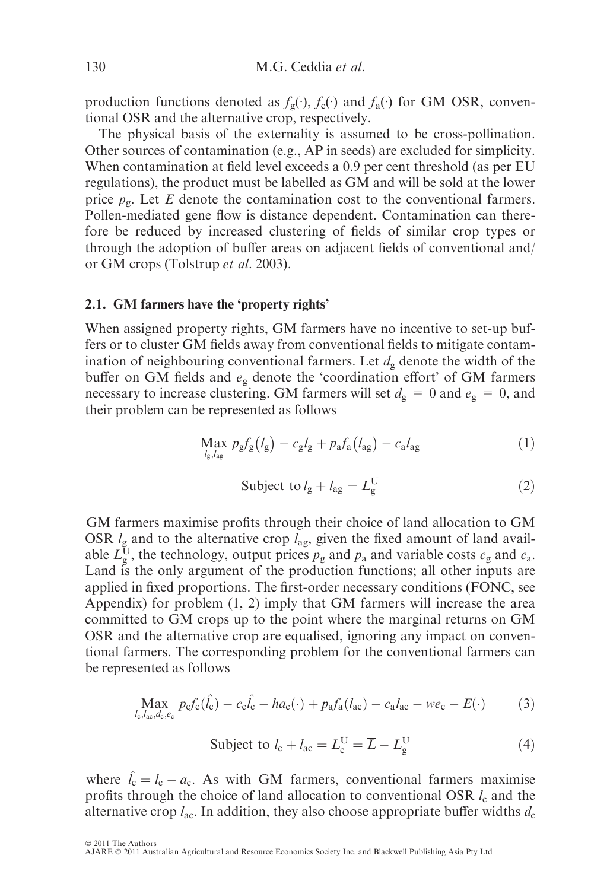production functions denoted as  $f_g(\cdot)$ ,  $f_c(\cdot)$  and  $f_a(\cdot)$  for GM OSR, conventional OSR and the alternative crop, respectively.

The physical basis of the externality is assumed to be cross-pollination. Other sources of contamination (e.g., AP in seeds) are excluded for simplicity. When contamination at field level exceeds a 0.9 per cent threshold (as per EU regulations), the product must be labelled as GM and will be sold at the lower price  $p_g$ . Let E denote the contamination cost to the conventional farmers. Pollen-mediated gene flow is distance dependent. Contamination can therefore be reduced by increased clustering of fields of similar crop types or through the adoption of buffer areas on adjacent fields of conventional and/ or GM crops (Tolstrup et al. 2003).

# 2.1. GM farmers have the 'property rights'

When assigned property rights, GM farmers have no incentive to set-up buffers or to cluster GM fields away from conventional fields to mitigate contamination of neighbouring conventional farmers. Let  $d_g$  denote the width of the buffer on GM fields and  $e_{g}$  denote the 'coordination effort' of GM farmers necessary to increase clustering. GM farmers will set  $d_g = 0$  and  $e_g = 0$ , and their problem can be represented as follows

$$
\max_{l_g, l_{ag}} p_g f_g(l_g) - c_g l_g + p_a f_a(l_{ag}) - c_a l_{ag} \tag{1}
$$

$$
Subject to l_{g} + l_{ag} = L_{g}^{U}
$$
 (2)

GM farmers maximise profits through their choice of land allocation to GM OSR  $l<sub>g</sub>$  and to the alternative crop  $l<sub>ag</sub>$ , given the fixed amount of land available  $L_{\rm g}^{\rm U}$ , the technology, output prices  $p_{\rm g}$  and  $p_{\rm a}$  and variable costs  $c_{\rm g}$  and  $c_{\rm a}$ . Land is the only argument of the production functions; all other inputs are applied in fixed proportions. The first-order necessary conditions (FONC, see Appendix) for problem (1, 2) imply that GM farmers will increase the area committed to GM crops up to the point where the marginal returns on GM OSR and the alternative crop are equalised, ignoring any impact on conventional farmers. The corresponding problem for the conventional farmers can be represented as follows

$$
\max_{l_c,l_{ac},d_c,e_c} p_c f_c(\hat{l_c}) - c_c \hat{l_c} - h a_c(\cdot) + p_a f_a(l_{ac}) - c_a l_{ac} - w e_c - E(\cdot) \tag{3}
$$

$$
Subject to l_c + l_{ac} = L_c^U = \overline{L} - L_g^U
$$
\n(4)

where  $l_c = l_c - a_c$ . As with GM farmers, conventional farmers maximise profits through the choice of land allocation to conventional OSR  $l_c$  and the alternative crop  $l_{ac}$ . In addition, they also choose appropriate buffer widths  $d_c$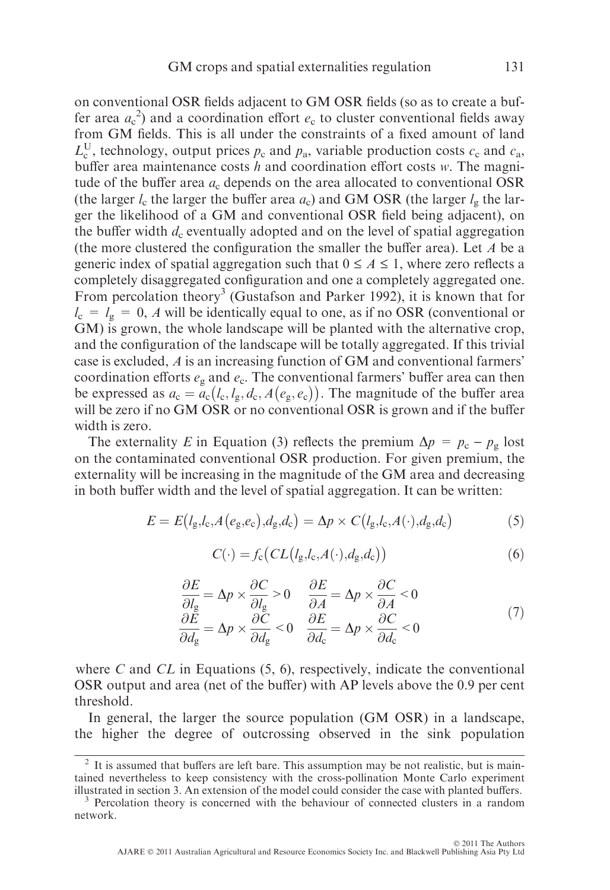on conventional OSR fields adjacent to GM OSR fields (so as to create a buffer area  $a_c^2$ ) and a coordination effort  $e_c$  to cluster conventional fields away from GM fields. This is all under the constraints of a fixed amount of land  $L_{\rm c}^{\rm U}$ , technology, output prices  $p_{\rm c}$  and  $p_{\rm a}$ , variable production costs  $c_{\rm c}$  and  $c_{\rm a}$ , buffer area maintenance costs  $h$  and coordination effort costs  $w$ . The magnitude of the buffer area  $a_c$  depends on the area allocated to conventional OSR (the larger  $l_c$  the larger the buffer area  $a_c$ ) and GM OSR (the larger  $l_g$  the larger the likelihood of a GM and conventional OSR field being adjacent), on the buffer width  $d_c$  eventually adopted and on the level of spatial aggregation (the more clustered the configuration the smaller the buffer area). Let  $A$  be a generic index of spatial aggregation such that  $0 \leq A \leq 1$ , where zero reflects a completely disaggregated configuration and one a completely aggregated one. From percolation theory<sup>3</sup> (Gustafson and Parker 1992), it is known that for  $l_c = l_g = 0$ , A will be identically equal to one, as if no OSR (conventional or GM) is grown, the whole landscape will be planted with the alternative crop, and the configuration of the landscape will be totally aggregated. If this trivial case is excluded, A is an increasing function of GM and conventional farmers' coordination efforts  $e_{\rm g}$  and  $e_{\rm c}$ . The conventional farmers' buffer area can then be expressed as  $a_c = a_c(l_c, l_g, d_c, A(e_g, e_c))$ . The magnitude of the buffer area will be zero if no GM OSR or no conventional OSR is grown and if the buffer width is zero.

The externality E in Equation (3) reflects the premium  $\Delta p = p_c - p_g$  lost on the contaminated conventional OSR production. For given premium, the externality will be increasing in the magnitude of the GM area and decreasing in both buffer width and the level of spatial aggregation. It can be written:

$$
E = E(l_g, l_c, A(e_g, e_c), d_g, d_c) = \Delta p \times C(l_g, l_c, A(\cdot), d_g, d_c)
$$
 (5)

$$
C(\cdot) = f_c\big(CL\big(l_g, l_c, A(\cdot), d_g, d_c\big)\big) \tag{6}
$$

$$
\frac{\partial E}{\partial l_{g}} = \Delta p \times \frac{\partial C}{\partial l_{g}} > 0 \qquad \frac{\partial E}{\partial A} = \Delta p \times \frac{\partial C}{\partial A} < 0
$$
\n
$$
\frac{\partial E}{\partial d_{g}} = \Delta p \times \frac{\partial C}{\partial d_{g}} < 0 \qquad \frac{\partial E}{\partial d_{c}} = \Delta p \times \frac{\partial C}{\partial d_{c}} < 0
$$
\n(7)

where C and CL in Equations  $(5, 6)$ , respectively, indicate the conventional OSR output and area (net of the buffer) with AP levels above the 0.9 per cent threshold.

In general, the larger the source population (GM OSR) in a landscape, the higher the degree of outcrossing observed in the sink population

 $2\,$  It is assumed that buffers are left bare. This assumption may be not realistic, but is maintained nevertheless to keep consistency with the cross-pollination Monte Carlo experiment illustrated in section 3. An extension of the model could consider the case with planted buffers.

 $\lambda$ <sup>3</sup> Percolation theory is concerned with the behaviour of connected clusters in a random network.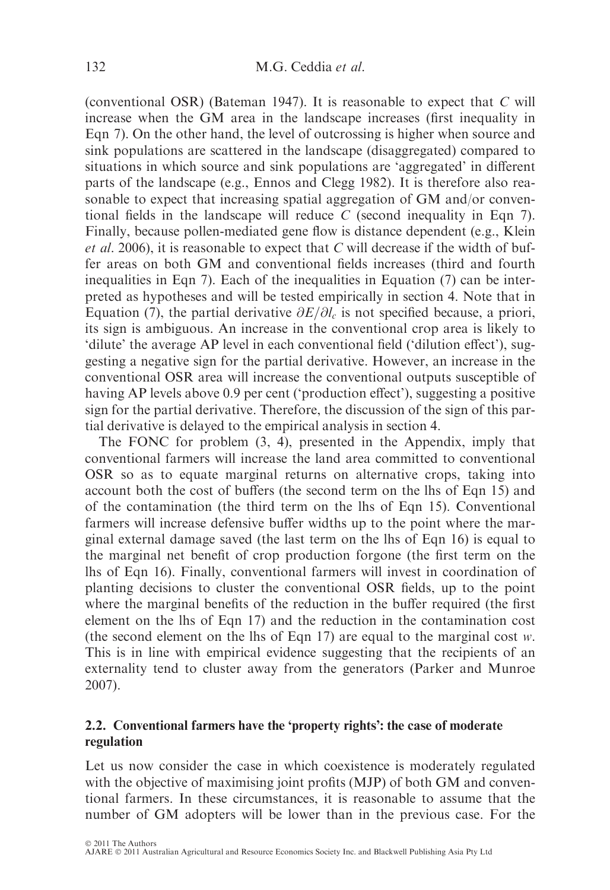(conventional OSR) (Bateman 1947). It is reasonable to expect that C will increase when the GM area in the landscape increases (first inequality in Eqn 7). On the other hand, the level of outcrossing is higher when source and sink populations are scattered in the landscape (disaggregated) compared to situations in which source and sink populations are 'aggregated' in different parts of the landscape (e.g., Ennos and Clegg 1982). It is therefore also reasonable to expect that increasing spatial aggregation of GM and/or conventional fields in the landscape will reduce C (second inequality in Eqn 7). Finally, because pollen-mediated gene flow is distance dependent (e.g., Klein et al. 2006), it is reasonable to expect that  $C$  will decrease if the width of buffer areas on both GM and conventional fields increases (third and fourth inequalities in Eqn 7). Each of the inequalities in Equation (7) can be interpreted as hypotheses and will be tested empirically in section 4. Note that in Equation (7), the partial derivative  $\partial E/\partial l_c$  is not specified because, a priori, its sign is ambiguous. An increase in the conventional crop area is likely to 'dilute' the average AP level in each conventional field ('dilution effect'), suggesting a negative sign for the partial derivative. However, an increase in the conventional OSR area will increase the conventional outputs susceptible of having AP levels above 0.9 per cent ('production effect'), suggesting a positive sign for the partial derivative. Therefore, the discussion of the sign of this partial derivative is delayed to the empirical analysis in section 4.

The FONC for problem (3, 4), presented in the Appendix, imply that conventional farmers will increase the land area committed to conventional OSR so as to equate marginal returns on alternative crops, taking into account both the cost of buffers (the second term on the lhs of Eqn 15) and of the contamination (the third term on the lhs of Eqn 15). Conventional farmers will increase defensive buffer widths up to the point where the marginal external damage saved (the last term on the lhs of Eqn 16) is equal to the marginal net benefit of crop production forgone (the first term on the lhs of Eqn 16). Finally, conventional farmers will invest in coordination of planting decisions to cluster the conventional OSR fields, up to the point where the marginal benefits of the reduction in the buffer required (the first element on the lhs of Eqn 17) and the reduction in the contamination cost (the second element on the lhs of Eqn 17) are equal to the marginal cost  $w$ . This is in line with empirical evidence suggesting that the recipients of an externality tend to cluster away from the generators (Parker and Munroe 2007).

# 2.2. Conventional farmers have the 'property rights': the case of moderate regulation

Let us now consider the case in which coexistence is moderately regulated with the objective of maximising joint profits (MJP) of both GM and conventional farmers. In these circumstances, it is reasonable to assume that the number of GM adopters will be lower than in the previous case. For the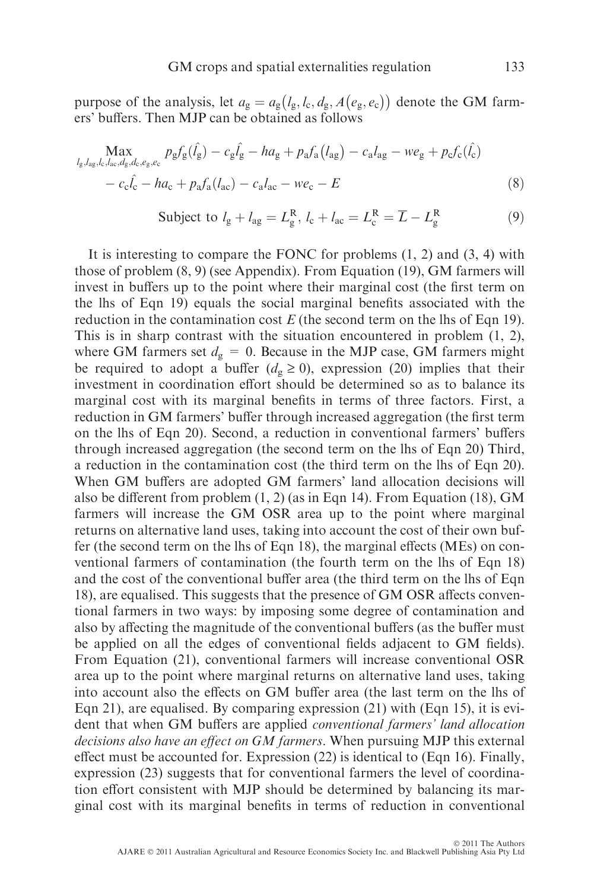purpose of the analysis, let  $a_g = a_g(l_g, l_c, d_g, A(e_g, e_c))$  denote the GM farmers' buffers. Then MJP can be obtained as follows

$$
\begin{aligned} \max_{l_{g},l_{ag},l_{c},l_{ac},d_{g},d_{c},e_{g},e_{c}} p_{g}f_{g}(\hat{l}_{g}) - c_{g}\hat{l}_{g} - ha_{g} + p_{a}f_{a}(l_{ag}) - c_{a}l_{ag} - we_{g} + p_{c}f_{c}(\hat{l}_{c}) \\ - c_{c}\hat{l}_{c} - ha_{c} + p_{a}f_{a}(l_{ac}) - c_{a}l_{ac} - we_{c} - E \end{aligned} \tag{8}
$$

Subject to 
$$
l_g + l_{ag} = L_g^R
$$
,  $l_c + l_{ac} = L_c^R = \overline{L} - L_g^R$  (9)

It is interesting to compare the FONC for problems (1, 2) and (3, 4) with those of problem (8, 9) (see Appendix). From Equation (19), GM farmers will invest in buffers up to the point where their marginal cost (the first term on the lhs of Eqn 19) equals the social marginal benefits associated with the reduction in the contamination cost  $E$  (the second term on the lhs of Eqn 19). This is in sharp contrast with the situation encountered in problem (1, 2), where GM farmers set  $d_g = 0$ . Because in the MJP case, GM farmers might be required to adopt a buffer  $(d_g \ge 0)$ , expression (20) implies that their investment in coordination effort should be determined so as to balance its marginal cost with its marginal benefits in terms of three factors. First, a reduction in GM farmers' buffer through increased aggregation (the first term on the lhs of Eqn 20). Second, a reduction in conventional farmers' buffers through increased aggregation (the second term on the lhs of Eqn 20) Third, a reduction in the contamination cost (the third term on the lhs of Eqn 20). When GM buffers are adopted GM farmers' land allocation decisions will also be different from problem  $(1, 2)$  (as in Eqn 14). From Equation (18), GM farmers will increase the GM OSR area up to the point where marginal returns on alternative land uses, taking into account the cost of their own buffer (the second term on the lhs of Eqn 18), the marginal effects (MEs) on conventional farmers of contamination (the fourth term on the lhs of Eqn 18) and the cost of the conventional buffer area (the third term on the lhs of Eqn 18), are equalised. This suggests that the presence of GM OSR affects conventional farmers in two ways: by imposing some degree of contamination and also by affecting the magnitude of the conventional buffers (as the buffer must be applied on all the edges of conventional fields adjacent to GM fields). From Equation (21), conventional farmers will increase conventional OSR area up to the point where marginal returns on alternative land uses, taking into account also the effects on GM buffer area (the last term on the lhs of Eqn 21), are equalised. By comparing expression (21) with (Eqn 15), it is evident that when GM buffers are applied conventional farmers' land allocation decisions also have an effect on GM farmers. When pursuing MJP this external effect must be accounted for. Expression (22) is identical to (Eqn 16). Finally, expression (23) suggests that for conventional farmers the level of coordination effort consistent with MJP should be determined by balancing its marginal cost with its marginal benefits in terms of reduction in conventional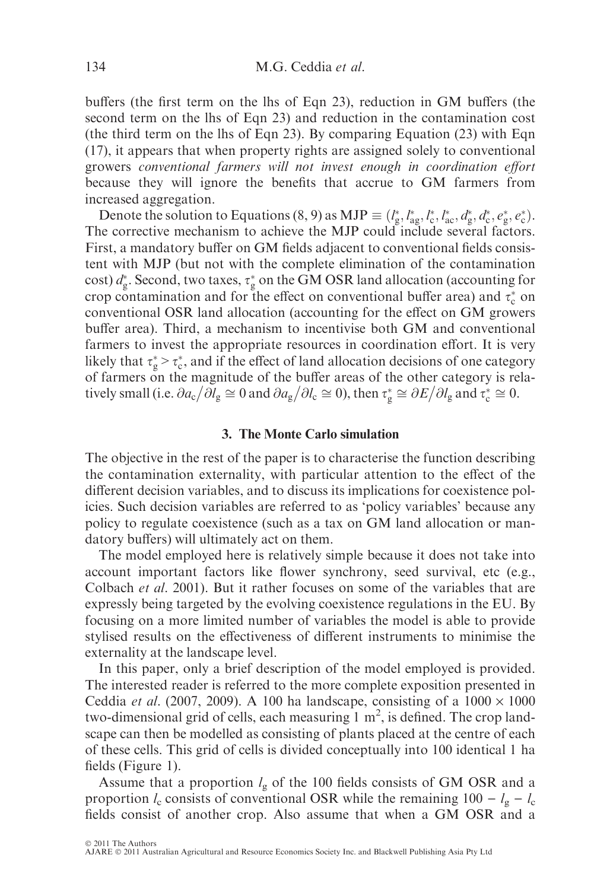buffers (the first term on the lhs of Eqn 23), reduction in GM buffers (the second term on the lhs of Eqn 23) and reduction in the contamination cost (the third term on the lhs of Eqn 23). By comparing Equation (23) with Eqn (17), it appears that when property rights are assigned solely to conventional growers conventional farmers will not invest enough in coordination effort because they will ignore the benefits that accrue to GM farmers from increased aggregation.

Denote the solution to Equations (8, 9) as MJP  $\equiv (l_g^*, l_{ag}^*, l_c^*, l_{ac}^*, d_g^*, d_g^*, e_g^*, e_c^*).$ The corrective mechanism to achieve the MJP could include several factors. First, a mandatory buffer on GM fields adjacent to conventional fields consistent with MJP (but not with the complete elimination of the contamination cost)  $d_{\rm g}^*$ . Second, two taxes,  $\tau_{\rm g}^*$  on the GM OSR land allocation (accounting for crop contamination and for the effect on conventional buffer area) and  $\tau_c^*$  on conventional OSR land allocation (accounting for the effect on GM growers buffer area). Third, a mechanism to incentivise both GM and conventional farmers to invest the appropriate resources in coordination effort. It is very likely that  $\tau_g^* > \tau_c^*$ , and if the effect of land allocation decisions of one category of farmers on the magnitude of the buffer areas of the other category is relatively small (i.e.  $\partial a_c / \partial l_g \cong 0$  and  $\partial a_g / \partial l_c \cong 0$ ), then  $\tau_g^* \cong \partial E / \partial l_g$  and  $\tau_c^* \cong 0$ .

# 3. The Monte Carlo simulation

The objective in the rest of the paper is to characterise the function describing the contamination externality, with particular attention to the effect of the different decision variables, and to discuss its implications for coexistence policies. Such decision variables are referred to as 'policy variables' because any policy to regulate coexistence (such as a tax on GM land allocation or mandatory buffers) will ultimately act on them.

The model employed here is relatively simple because it does not take into account important factors like flower synchrony, seed survival, etc (e.g., Colbach et al. 2001). But it rather focuses on some of the variables that are expressly being targeted by the evolving coexistence regulations in the EU. By focusing on a more limited number of variables the model is able to provide stylised results on the effectiveness of different instruments to minimise the externality at the landscape level.

In this paper, only a brief description of the model employed is provided. The interested reader is referred to the more complete exposition presented in Ceddia *et al.* (2007, 2009). A 100 ha landscape, consisting of a  $1000 \times 1000$ two-dimensional grid of cells, each measuring  $1 \text{ m}^2$ , is defined. The crop landscape can then be modelled as consisting of plants placed at the centre of each of these cells. This grid of cells is divided conceptually into 100 identical 1 ha fields (Figure 1).

Assume that a proportion  $l<sub>g</sub>$  of the 100 fields consists of GM OSR and a proportion  $l_c$  consists of conventional OSR while the remaining  $100 - l_g - l_c$ fields consist of another crop. Also assume that when a GM OSR and a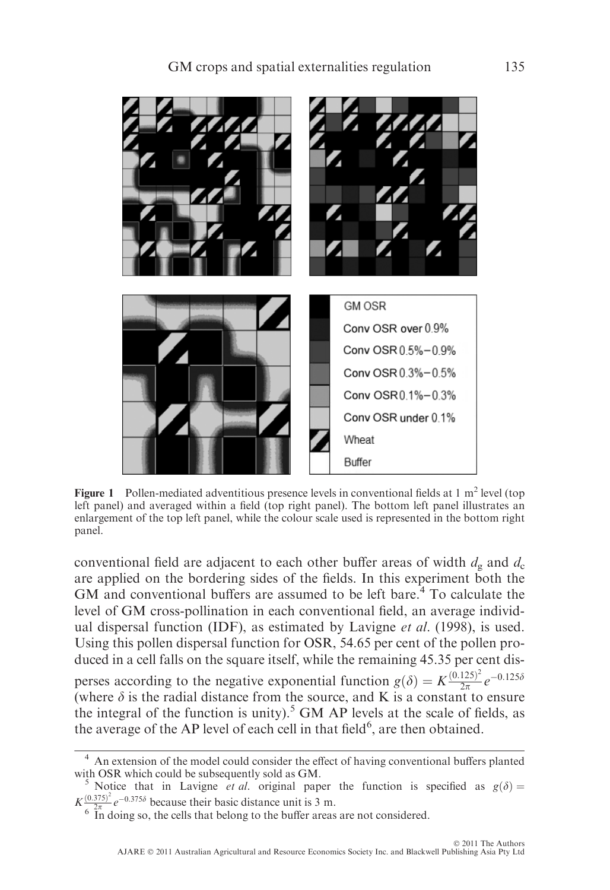

**Figure 1** Pollen-mediated adventitious presence levels in conventional fields at  $1 \text{ m}^2$  level (top left panel) and averaged within a field (top right panel). The bottom left panel illustrates an enlargement of the top left panel, while the colour scale used is represented in the bottom right panel.

conventional field are adjacent to each other buffer areas of width  $d_{g}$  and  $d_{c}$ are applied on the bordering sides of the fields. In this experiment both the GM and conventional buffers are assumed to be left bare.<sup>4</sup> To calculate the level of GM cross-pollination in each conventional field, an average individual dispersal function (IDF), as estimated by Lavigne et al. (1998), is used. Using this pollen dispersal function for OSR, 54.65 per cent of the pollen produced in a cell falls on the square itself, while the remaining 45.35 per cent disperses according to the negative exponential function  $g(\delta) = K \frac{(0.125)^2}{2\pi} e^{-0.125\delta}$ (where  $\delta$  is the radial distance from the source, and K is a constant to ensure the integral of the function is unity).<sup>5</sup> GM AP levels at the scale of fields, as the average of the AP level of each cell in that field<sup>6</sup>, are then obtained.

<sup>&</sup>lt;sup>4</sup> An extension of the model could consider the effect of having conventional buffers planted with OSR which could be subsequently sold as GM.

<sup>&</sup>lt;sup>5</sup> Notice that in Lavigne *et al.* original paper the function is specified as  $g(\delta)$  =  $K \frac{(0.375)^2}{2} e^{-0.375\delta}$  because their basic distance unit is 3 m.

 $\hat{I}^n$  doing so, the cells that belong to the buffer areas are not considered.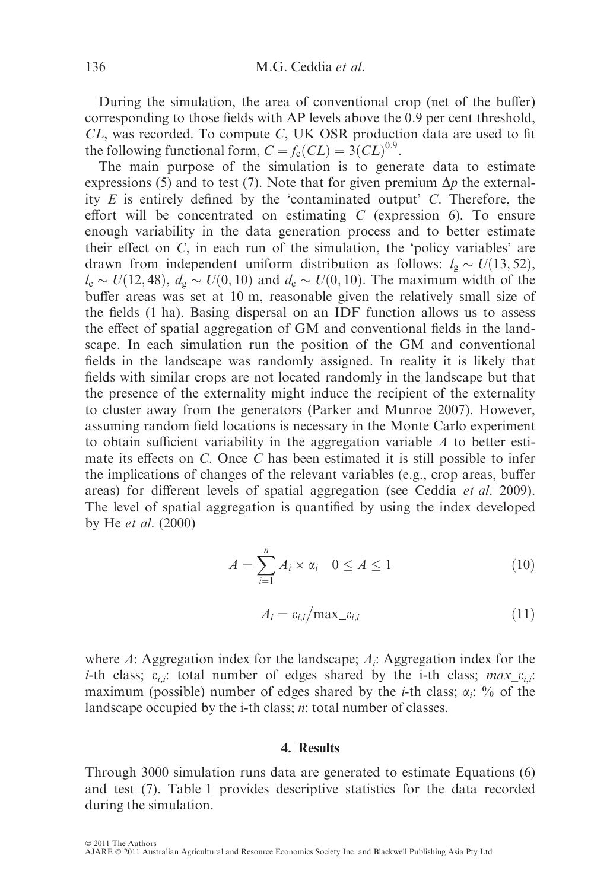During the simulation, the area of conventional crop (net of the buffer) corresponding to those fields with AP levels above the 0.9 per cent threshold, CL, was recorded. To compute C, UK OSR production data are used to fit the following functional form,  $C = f_c (CL) = 3 (CL)^{0.9}$ .

The main purpose of the simulation is to generate data to estimate expressions (5) and to test (7). Note that for given premium  $\Delta p$  the externality  $E$  is entirely defined by the 'contaminated output'  $C$ . Therefore, the effort will be concentrated on estimating  $C$  (expression 6). To ensure enough variability in the data generation process and to better estimate their effect on C, in each run of the simulation, the 'policy variables' are drawn from independent uniform distribution as follows:  $l_g \sim U(13, 52)$ ,  $l_c \sim U(12, 48)$ ,  $d_g \sim U(0, 10)$  and  $d_c \sim U(0, 10)$ . The maximum width of the buffer areas was set at 10 m, reasonable given the relatively small size of the fields (1 ha). Basing dispersal on an IDF function allows us to assess the effect of spatial aggregation of GM and conventional fields in the landscape. In each simulation run the position of the GM and conventional fields in the landscape was randomly assigned. In reality it is likely that fields with similar crops are not located randomly in the landscape but that the presence of the externality might induce the recipient of the externality to cluster away from the generators (Parker and Munroe 2007). However, assuming random field locations is necessary in the Monte Carlo experiment to obtain sufficient variability in the aggregation variable  $\Lambda$  to better estimate its effects on C. Once C has been estimated it is still possible to infer the implications of changes of the relevant variables (e.g., crop areas, buffer areas) for different levels of spatial aggregation (see Ceddia et al. 2009). The level of spatial aggregation is quantified by using the index developed by He et al. (2000)

$$
A = \sum_{i=1}^{n} A_i \times \alpha_i \quad 0 \le A \le 1
$$
\n(10)

$$
A_i = \varepsilon_{i,i} / \max_{\mathcal{L}_{i,i}} \tag{11}
$$

where A: Aggregation index for the landscape;  $A_i$ : Aggregation index for the *i*-th class;  $\varepsilon_{i,i}$ : total number of edges shared by the *i*-th class; *max*  $\varepsilon_{i,i}$ : maximum (possible) number of edges shared by the *i*-th class;  $\alpha_i$ : % of the landscape occupied by the i-th class; *n*: total number of classes.

# 4. Results

Through 3000 simulation runs data are generated to estimate Equations (6) and test (7). Table 1 provides descriptive statistics for the data recorded during the simulation.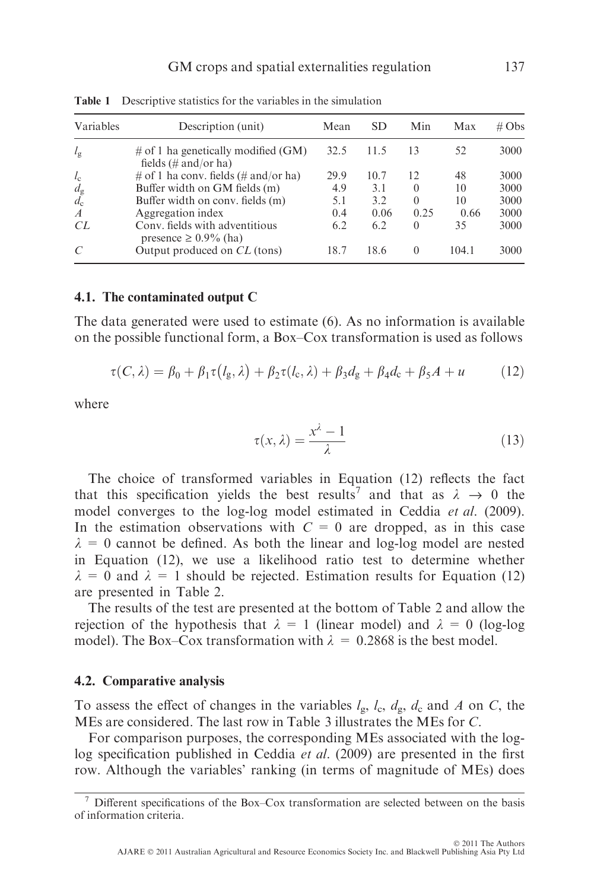| Variables        | Description (unit)                                             | Mean | <b>SD</b> | Min              | Max   | $\#$ Obs |
|------------------|----------------------------------------------------------------|------|-----------|------------------|-------|----------|
| $l_{\rm g}$      | $\#$ of 1 ha genetically modified (GM)<br>fields (# and/or ha) | 32.5 | 11.5      | 13               | 52    | 3000     |
| $l_{\rm c}$      | # of 1 ha conv. fields $(\#$ and/or ha)                        | 29.9 | 10.7      | 12               | 48    | 3000     |
| $d_{\rm g}$      | Buffer width on GM fields (m)                                  | 4.9  | 3.1       | $\Omega$         | 10    | 3000     |
| $d_{\rm c}$      | Buffer width on conv. fields (m)                               | 5.1  | 3.2       | $\Omega$         | 10    | 3000     |
| $\boldsymbol{A}$ | Aggregation index                                              | 0.4  | 0.06      | 0.25             | 0.66  | 3000     |
| CL               | Conv. fields with adventitious<br>presence $\geq 0.9\%$ (ha)   | 6.2  | 6.2       | $\theta$         | 35    | 3000     |
| C                | Output produced on CL (tons)                                   | 18.7 | 18.6      | $\left( \right)$ | 104.1 | 3000     |

Table 1 Descriptive statistics for the variables in the simulation

#### 4.1. The contaminated output C

The data generated were used to estimate (6). As no information is available on the possible functional form, a Box–Cox transformation is used as follows

$$
\tau(C, \lambda) = \beta_0 + \beta_1 \tau(l_g, \lambda) + \beta_2 \tau(l_c, \lambda) + \beta_3 d_g + \beta_4 d_c + \beta_5 A + u \tag{12}
$$

where

$$
\tau(x,\lambda) = \frac{x^{\lambda} - 1}{\lambda} \tag{13}
$$

The choice of transformed variables in Equation (12) reflects the fact that this specification yields the best results<sup>7</sup> and that as  $\lambda \rightarrow 0$  the model converges to the log-log model estimated in Ceddia et al. (2009). In the estimation observations with  $C = 0$  are dropped, as in this case  $\lambda = 0$  cannot be defined. As both the linear and log-log model are nested in Equation (12), we use a likelihood ratio test to determine whether  $\lambda = 0$  and  $\lambda = 1$  should be rejected. Estimation results for Equation (12) are presented in Table 2.

The results of the test are presented at the bottom of Table 2 and allow the rejection of the hypothesis that  $\lambda = 1$  (linear model) and  $\lambda = 0$  (log-log model). The Box–Cox transformation with  $\lambda = 0.2868$  is the best model.

#### 4.2. Comparative analysis

To assess the effect of changes in the variables  $l_g$ ,  $l_c$ ,  $d_g$ ,  $d_c$  and A on C, the MEs are considered. The last row in Table 3 illustrates the MEs for C.

For comparison purposes, the corresponding MEs associated with the loglog specification published in Ceddia et al. (2009) are presented in the first row. Although the variables' ranking (in terms of magnitude of MEs) does

 $\frac{7}{1}$  Different specifications of the Box–Cox transformation are selected between on the basis of information criteria.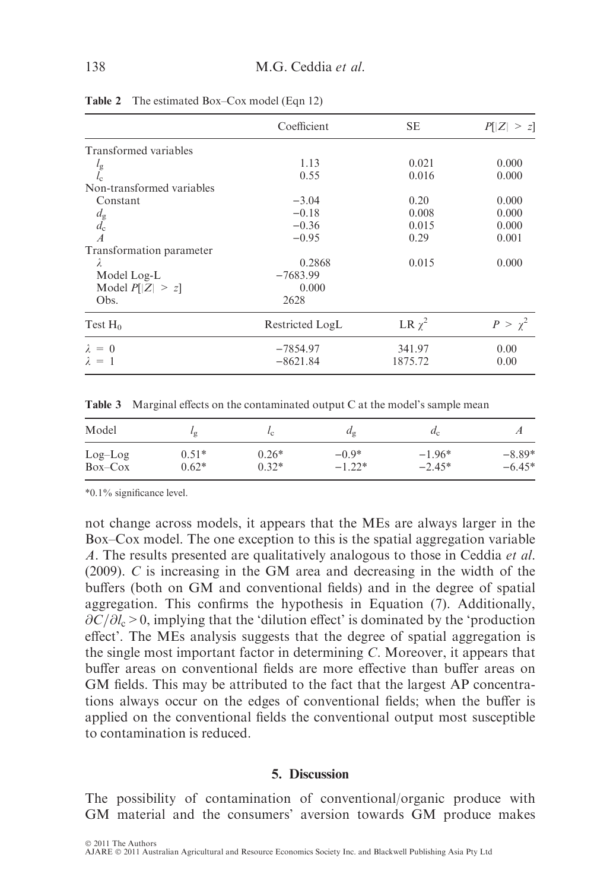|                                               | Coefficient     | <b>SE</b>   | P[ Z  > z]   |
|-----------------------------------------------|-----------------|-------------|--------------|
| Transformed variables                         |                 |             |              |
|                                               | 1.13            | 0.021       | 0.000        |
| $l_{\rm g}$ <sub><math>l_{\rm c}</math></sub> | 0.55            | 0.016       | 0.000        |
| Non-transformed variables                     |                 |             |              |
| Constant                                      | $-3.04$         | 0.20        | 0.000        |
| $d_{\rm g}$                                   | $-0.18$         | 0.008       | 0.000        |
| $d_{\rm c}$                                   | $-0.36$         | 0.015       | 0.000        |
| $\overline{A}$                                | $-0.95$         | 0.29        | 0.001        |
| Transformation parameter                      |                 |             |              |
| λ                                             | 0.2868          | 0.015       | 0.000        |
| Model Log-L                                   | $-7683.99$      |             |              |
| Model $P[ Z  > z]$                            | 0.000           |             |              |
| Obs.                                          | 2628            |             |              |
| Test $H_0$                                    | Restricted LogL | LR $\chi^2$ | $P > \chi^2$ |
| $\lambda = 0$                                 | $-7854.97$      | 341.97      | 0.00         |
| $\lambda = 1$                                 | $-8621.84$      | 1875.72     | 0.00         |

Table 2 The estimated Box–Cox model (Eqn 12)

Table 3 Marginal effects on the contaminated output C at the model's sample mean

| Model   | $l_{\rm g}$ | $\iota_{\rm c}$ | $d_{\rm g}$ | $a_{c}$  |          |
|---------|-------------|-----------------|-------------|----------|----------|
| Log-Log | $0.51*$     | $0.26*$         | $-0.9*$     | $-1.96*$ | $-8.89*$ |
| Box-Cox | $0.62*$     | $0.32*$         | $-1.22*$    | $-2.45*$ | $-6.45*$ |

\*0.1% significance level.

not change across models, it appears that the MEs are always larger in the Box–Cox model. The one exception to this is the spatial aggregation variable A. The results presented are qualitatively analogous to those in Ceddia et al. (2009). C is increasing in the GM area and decreasing in the width of the buffers (both on GM and conventional fields) and in the degree of spatial aggregation. This confirms the hypothesis in Equation (7). Additionally,  $\partial C/\partial l_c > 0$ , implying that the 'dilution effect' is dominated by the 'production' effect'. The MEs analysis suggests that the degree of spatial aggregation is the single most important factor in determining C. Moreover, it appears that buffer areas on conventional fields are more effective than buffer areas on GM fields. This may be attributed to the fact that the largest AP concentrations always occur on the edges of conventional fields; when the buffer is applied on the conventional fields the conventional output most susceptible to contamination is reduced.

#### 5. Discussion

The possibility of contamination of conventional/organic produce with GM material and the consumers' aversion towards GM produce makes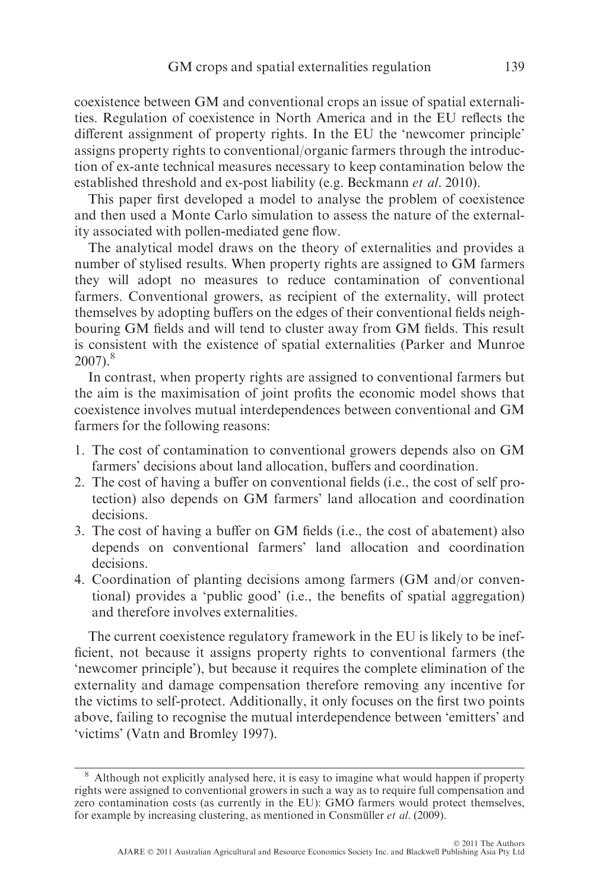coexistence between GM and conventional crops an issue of spatial externalities. Regulation of coexistence in North America and in the EU reflects the different assignment of property rights. In the EU the 'newcomer principle' assigns property rights to conventional/organic farmers through the introduction of ex-ante technical measures necessary to keep contamination below the established threshold and ex-post liability (e.g. Beckmann et al. 2010).

This paper first developed a model to analyse the problem of coexistence and then used a Monte Carlo simulation to assess the nature of the externality associated with pollen-mediated gene flow.

The analytical model draws on the theory of externalities and provides a number of stylised results. When property rights are assigned to GM farmers they will adopt no measures to reduce contamination of conventional farmers. Conventional growers, as recipient of the externality, will protect themselves by adopting buffers on the edges of their conventional fields neighbouring GM fields and will tend to cluster away from GM fields. This result is consistent with the existence of spatial externalities (Parker and Munroe  $2007$ ).<sup>8</sup>

In contrast, when property rights are assigned to conventional farmers but the aim is the maximisation of joint profits the economic model shows that coexistence involves mutual interdependences between conventional and GM farmers for the following reasons:

- 1. The cost of contamination to conventional growers depends also on GM farmers' decisions about land allocation, buffers and coordination.
- 2. The cost of having a buffer on conventional fields (i.e., the cost of self protection) also depends on GM farmers' land allocation and coordination decisions.
- 3. The cost of having a buffer on GM fields (i.e., the cost of abatement) also depends on conventional farmers' land allocation and coordination decisions.
- 4. Coordination of planting decisions among farmers (GM and/or conventional) provides a 'public good' (i.e., the benefits of spatial aggregation) and therefore involves externalities.

The current coexistence regulatory framework in the EU is likely to be inefficient, not because it assigns property rights to conventional farmers (the 'newcomer principle'), but because it requires the complete elimination of the externality and damage compensation therefore removing any incentive for the victims to self-protect. Additionally, it only focuses on the first two points above, failing to recognise the mutual interdependence between 'emitters' and 'victims' (Vatn and Bromley 1997).

<sup>&</sup>lt;sup>8</sup> Although not explicitly analysed here, it is easy to imagine what would happen if property rights were assigned to conventional growers in such a way as to require full compensation and zero contamination costs (as currently in the EU): GMO farmers would protect themselves, for example by increasing clustering, as mentioned in Consmuller *et al.* (2009).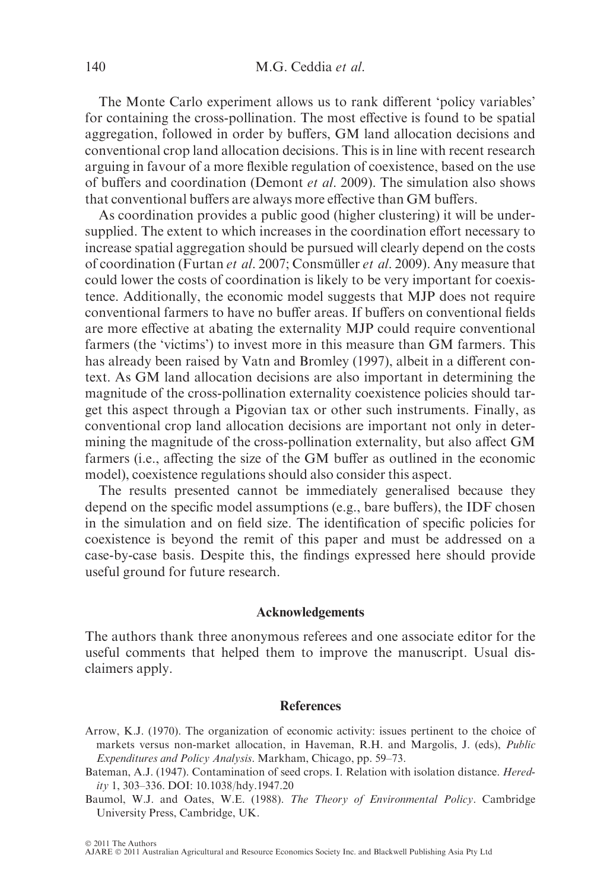The Monte Carlo experiment allows us to rank different 'policy variables' for containing the cross-pollination. The most effective is found to be spatial aggregation, followed in order by buffers, GM land allocation decisions and conventional crop land allocation decisions. This is in line with recent research arguing in favour of a more flexible regulation of coexistence, based on the use of buffers and coordination (Demont et al. 2009). The simulation also shows that conventional buffers are always more effective than GM buffers.

As coordination provides a public good (higher clustering) it will be undersupplied. The extent to which increases in the coordination effort necessary to increase spatial aggregation should be pursued will clearly depend on the costs of coordination (Furtan et al. 2007; Consmüller et al. 2009). Any measure that could lower the costs of coordination is likely to be very important for coexistence. Additionally, the economic model suggests that MJP does not require conventional farmers to have no buffer areas. If buffers on conventional fields are more effective at abating the externality MJP could require conventional farmers (the 'victims') to invest more in this measure than GM farmers. This has already been raised by Vatn and Bromley (1997), albeit in a different context. As GM land allocation decisions are also important in determining the magnitude of the cross-pollination externality coexistence policies should target this aspect through a Pigovian tax or other such instruments. Finally, as conventional crop land allocation decisions are important not only in determining the magnitude of the cross-pollination externality, but also affect GM farmers (i.e., affecting the size of the GM buffer as outlined in the economic model), coexistence regulations should also consider this aspect.

The results presented cannot be immediately generalised because they depend on the specific model assumptions (e.g., bare buffers), the IDF chosen in the simulation and on field size. The identification of specific policies for coexistence is beyond the remit of this paper and must be addressed on a case-by-case basis. Despite this, the findings expressed here should provide useful ground for future research.

# Acknowledgements

The authors thank three anonymous referees and one associate editor for the useful comments that helped them to improve the manuscript. Usual disclaimers apply.

#### **References**

- Arrow, K.J. (1970). The organization of economic activity: issues pertinent to the choice of markets versus non-market allocation, in Haveman, R.H. and Margolis, J. (eds), Public Expenditures and Policy Analysis. Markham, Chicago, pp. 59–73.
- Bateman, A.J. (1947). Contamination of seed crops. I. Relation with isolation distance. Heredity 1, 303–336. DOI: 10.1038/hdy.1947.20

Baumol, W.J. and Oates, W.E. (1988). The Theory of Environmental Policy. Cambridge University Press, Cambridge, UK.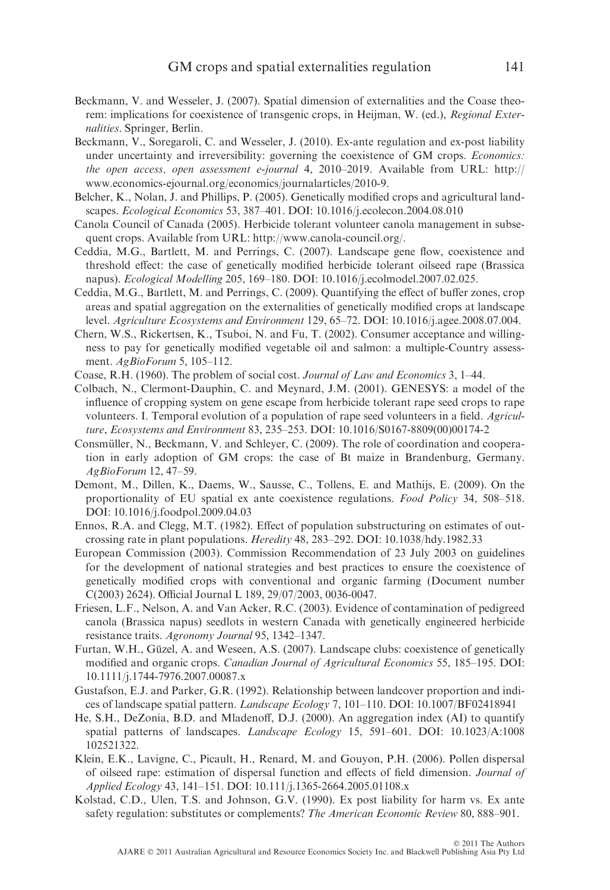- Beckmann, V. and Wesseler, J. (2007). Spatial dimension of externalities and the Coase theorem: implications for coexistence of transgenic crops, in Heijman, W. (ed.), Regional Externalities. Springer, Berlin.
- Beckmann, V., Soregaroli, C. and Wesseler, J. (2010). Ex-ante regulation and ex-post liability under uncertainty and irreversibility: governing the coexistence of GM crops. Economics: the open access, open assessment e-journal 4, 2010–2019. Available from URL: http:// www.economics-ejournal.org/economics/journalarticles/2010-9.
- Belcher, K., Nolan, J. and Phillips, P. (2005). Genetically modified crops and agricultural landscapes. Ecological Economics 53, 387–401. DOI: 10.1016/j.ecolecon.2004.08.010
- Canola Council of Canada (2005). Herbicide tolerant volunteer canola management in subsequent crops. Available from URL: http://www.canola-council.org/.
- Ceddia, M.G., Bartlett, M. and Perrings, C. (2007). Landscape gene flow, coexistence and threshold effect: the case of genetically modified herbicide tolerant oilseed rape (Brassica napus). Ecological Modelling 205, 169–180. DOI: 10.1016/j.ecolmodel.2007.02.025.
- Ceddia, M.G., Bartlett, M. and Perrings, C. (2009). Quantifying the effect of buffer zones, crop areas and spatial aggregation on the externalities of genetically modified crops at landscape level. Agriculture Ecosystems and Environment 129, 65–72. DOI: 10.1016/j.agee.2008.07.004.
- Chern, W.S., Rickertsen, K., Tsuboi, N. and Fu, T. (2002). Consumer acceptance and willingness to pay for genetically modified vegetable oil and salmon: a multiple-Country assessment. AgBioForum 5, 105–112.
- Coase, R.H. (1960). The problem of social cost. Journal of Law and Economics 3, 1–44.
- Colbach, N., Clermont-Dauphin, C. and Meynard, J.M. (2001). GENESYS: a model of the influence of cropping system on gene escape from herbicide tolerant rape seed crops to rape volunteers. I. Temporal evolution of a population of rape seed volunteers in a field. Agriculture, Ecosystems and Environment 83, 235–253. DOI: 10.1016/S0167-8809(00)00174-2
- Consmüller, N., Beckmann, V. and Schleyer, C. (2009). The role of coordination and cooperation in early adoption of GM crops: the case of Bt maize in Brandenburg, Germany. AgBioForum 12, 47–59.
- Demont, M., Dillen, K., Daems, W., Sausse, C., Tollens, E. and Mathijs, E. (2009). On the proportionality of EU spatial ex ante coexistence regulations. Food Policy 34, 508–518. DOI: 10.1016/j.foodpol.2009.04.03
- Ennos, R.A. and Clegg, M.T. (1982). Effect of population substructuring on estimates of outcrossing rate in plant populations. Heredity 48, 283–292. DOI: 10.1038/hdy.1982.33
- European Commission (2003). Commission Recommendation of 23 July 2003 on guidelines for the development of national strategies and best practices to ensure the coexistence of genetically modified crops with conventional and organic farming (Document number C(2003) 2624). Official Journal L 189, 29/07/2003, 0036-0047.
- Friesen, L.F., Nelson, A. and Van Acker, R.C. (2003). Evidence of contamination of pedigreed canola (Brassica napus) seedlots in western Canada with genetically engineered herbicide resistance traits. Agronomy Journal 95, 1342–1347.
- Furtan, W.H., Güzel, A. and Weseen, A.S. (2007). Landscape clubs: coexistence of genetically modified and organic crops. Canadian Journal of Agricultural Economics 55, 185–195. DOI: 10.1111/j.1744-7976.2007.00087.x
- Gustafson, E.J. and Parker, G.R. (1992). Relationship between landcover proportion and indices of landscape spatial pattern. Landscape Ecology 7, 101–110. DOI: 10.1007/BF02418941
- He, S.H., DeZonia, B.D. and Mladenoff, D.J. (2000). An aggregation index (AI) to quantify spatial patterns of landscapes. Landscape Ecology 15, 591–601. DOI: 10.1023/A:1008 102521322.
- Klein, E.K., Lavigne, C., Picault, H., Renard, M. and Gouyon, P.H. (2006). Pollen dispersal of oilseed rape: estimation of dispersal function and effects of field dimension. Journal of Applied Ecology 43, 141–151. DOI: 10.111/j.1365-2664.2005.01108.x
- Kolstad, C.D., Ulen, T.S. and Johnson, G.V. (1990). Ex post liability for harm vs. Ex ante safety regulation: substitutes or complements? The American Economic Review 80, 888–901.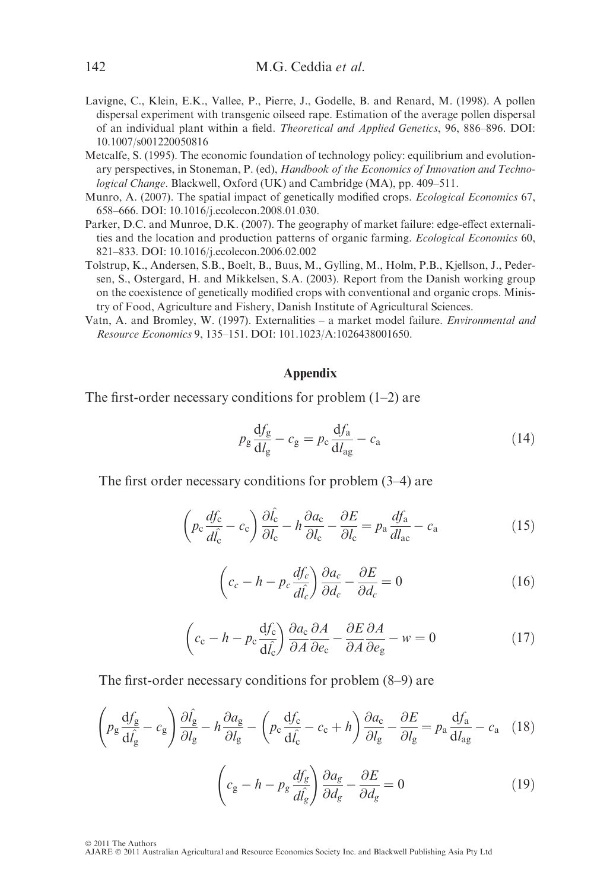- Lavigne, C., Klein, E.K., Vallee, P., Pierre, J., Godelle, B. and Renard, M. (1998). A pollen dispersal experiment with transgenic oilseed rape. Estimation of the average pollen dispersal of an individual plant within a field. Theoretical and Applied Genetics, 96, 886–896. DOI: 10.1007/s001220050816
- Metcalfe, S. (1995). The economic foundation of technology policy: equilibrium and evolutionary perspectives, in Stoneman, P. (ed), Handbook of the Economics of Innovation and Technological Change. Blackwell, Oxford (UK) and Cambridge (MA), pp. 409–511.
- Munro, A. (2007). The spatial impact of genetically modified crops. *Ecological Economics* 67, 658–666. DOI: 10.1016/j.ecolecon.2008.01.030.
- Parker, D.C. and Munroe, D.K. (2007). The geography of market failure: edge-effect externalities and the location and production patterns of organic farming. Ecological Economics 60, 821–833. DOI: 10.1016/j.ecolecon.2006.02.002
- Tolstrup, K., Andersen, S.B., Boelt, B., Buus, M., Gylling, M., Holm, P.B., Kjellson, J., Pedersen, S., Ostergard, H. and Mikkelsen, S.A. (2003). Report from the Danish working group on the coexistence of genetically modified crops with conventional and organic crops. Ministry of Food, Agriculture and Fishery, Danish Institute of Agricultural Sciences.
- Vatn, A. and Bromley, W. (1997). Externalities a market model failure. Environmental and Resource Economics 9, 135–151. DOI: 101.1023/A:1026438001650.

# Appendix

The first-order necessary conditions for problem (1–2) are

$$
p_{g} \frac{df_{g}}{dI_{g}} - c_{g} = p_{c} \frac{df_{a}}{dI_{ag}} - c_{a}
$$
\n(14)

The first order necessary conditions for problem (3–4) are

$$
\left(p_c \frac{df_c}{d\hat{l_c}} - c_c\right) \frac{\partial \hat{l_c}}{\partial l_c} - h \frac{\partial a_c}{\partial l_c} - \frac{\partial E}{\partial l_c} = p_a \frac{df_a}{d l_{ac}} - c_a \tag{15}
$$

$$
\left(c_c - h - p_c \frac{df_c}{d\hat{l_c}}\right) \frac{\partial a_c}{\partial d_c} - \frac{\partial E}{\partial d_c} = 0
$$
\n(16)

$$
\left(c_{\rm c} - h - p_{\rm c} \frac{\mathrm{d} f_{\rm c}}{\mathrm{d} \hat{l}_{\rm c}}\right) \frac{\partial a_{\rm c}}{\partial A} \frac{\partial A}{\partial e_{\rm c}} - \frac{\partial E}{\partial A} \frac{\partial A}{\partial e_{\rm g}} - w = 0 \tag{17}
$$

The first-order necessary conditions for problem (8–9) are

$$
\left(p_{g}\frac{df_{g}}{d\hat{l}_{g}}-c_{g}\right)\frac{\partial\hat{l}_{g}}{\partial l_{g}}-h\frac{\partial a_{g}}{\partial l_{g}}-\left(p_{c}\frac{df_{c}}{d\hat{l}_{c}}-c_{c}+h\right)\frac{\partial a_{c}}{\partial l_{g}}-\frac{\partial E}{\partial l_{g}}=p_{a}\frac{df_{a}}{d l_{ag}}-c_{a} \quad (18)
$$

$$
\left(c_g - h - p_g \frac{df_g}{d\hat{l}_g}\right) \frac{\partial a_g}{\partial d_g} - \frac{\partial E}{\partial d_g} = 0 \tag{19}
$$